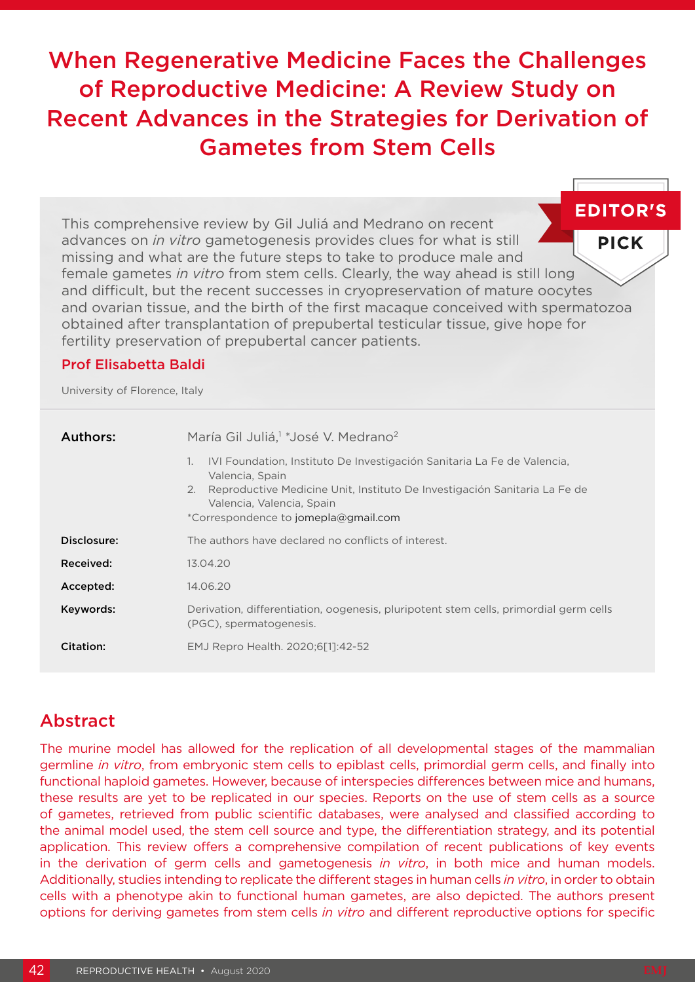# When Regenerative Medicine Faces the Challenges of Reproductive Medicine: A Review Study on Recent Advances in the Strategies for Derivation of Gametes from Stem Cells

**EDITOR'S** This comprehensive review by Gil Juliá and Medrano on recent advances on *in vitro* gametogenesis provides clues for what is still **PICK** missing and what are the future steps to take to produce male and female gametes *in vitro* from stem cells. Clearly, the way ahead is still long and difficult, but the recent successes in cryopreservation of mature oocytes and ovarian tissue, and the birth of the first macaque conceived with spermatozoa obtained after transplantation of prepubertal testicular tissue, give hope for fertility preservation of prepubertal cancer patients.

### Prof Elisabetta Baldi

University of Florence, Italy

| Authors:    | María Gil Juliá, <sup>1</sup> *José V. Medrano <sup>2</sup>                                                                                                                                                                                              |
|-------------|----------------------------------------------------------------------------------------------------------------------------------------------------------------------------------------------------------------------------------------------------------|
|             | IVI Foundation, Instituto De Investigación Sanitaria La Fe de Valencia,<br>1.<br>Valencia, Spain<br>Reproductive Medicine Unit, Instituto De Investigación Sanitaria La Fe de<br>2.<br>Valencia, Valencia, Spain<br>*Correspondence to jomepla@gmail.com |
|             |                                                                                                                                                                                                                                                          |
| Disclosure: | The authors have declared no conflicts of interest.                                                                                                                                                                                                      |
| Received:   | 13.04.20                                                                                                                                                                                                                                                 |
| Accepted:   | 14.06.20                                                                                                                                                                                                                                                 |
| Keywords:   | Derivation, differentiation, oogenesis, pluripotent stem cells, primordial germ cells<br>(PGC), spermatogenesis.                                                                                                                                         |
| Citation:   | EMJ Repro Health. 2020;6[1]:42-52                                                                                                                                                                                                                        |

# Abstract

The murine model has allowed for the replication of all developmental stages of the mammalian germline *in vitro*, from embryonic stem cells to epiblast cells, primordial germ cells, and finally into functional haploid gametes. However, because of interspecies differences between mice and humans, these results are yet to be replicated in our species. Reports on the use of stem cells as a source of gametes, retrieved from public scientific databases, were analysed and classified according to the animal model used, the stem cell source and type, the differentiation strategy, and its potential application. This review offers a comprehensive compilation of recent publications of key events in the derivation of germ cells and gametogenesis *in vitro*, in both mice and human models. Additionally, studies intending to replicate the different stages in human cells *in vitro*, in order to obtain cells with a phenotype akin to functional human gametes, are also depicted. The authors present options for deriving gametes from stem cells *in vitro* and different reproductive options for specific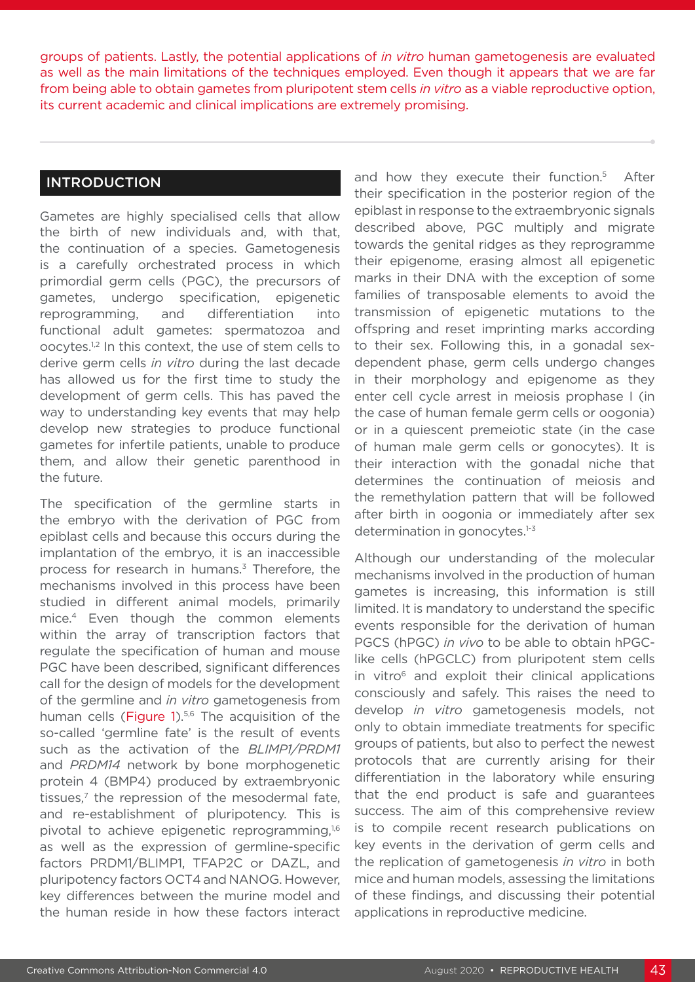groups of patients. Lastly, the potential applications of *in vitro* human gametogenesis are evaluated as well as the main limitations of the techniques employed. Even though it appears that we are far from being able to obtain gametes from pluripotent stem cells *in vitro* as a viable reproductive option, its current academic and clinical implications are extremely promising.

### INTRODUCTION

Gametes are highly specialised cells that allow the birth of new individuals and, with that, the continuation of a species. Gametogenesis is a carefully orchestrated process in which primordial germ cells (PGC), the precursors of gametes, undergo specification, epigenetic reprogramming, and differentiation into functional adult gametes: spermatozoa and oocytes.1,2 In this context, the use of stem cells to derive germ cells *in vitro* during the last decade has allowed us for the first time to study the development of germ cells. This has paved the way to understanding key events that may help develop new strategies to produce functional gametes for infertile patients, unable to produce them, and allow their genetic parenthood in the future.

The specification of the germline starts in the embryo with the derivation of PGC from epiblast cells and because this occurs during the implantation of the embryo, it is an inaccessible process for research in humans.3 Therefore, the mechanisms involved in this process have been studied in different animal models, primarily mice.4 Even though the common elements within the array of transcription factors that regulate the specification of human and mouse PGC have been described, significant differences call for the design of models for the development of the germline and *in vitro* gametogenesis from human cells (Figure 1).<sup>5,6</sup> The acquisition of the so-called 'germline fate' is the result of events such as the activation of the *BLIMP1/PRDM1*  and *PRDM14* network by bone morphogenetic protein 4 (BMP4) produced by extraembryonic tissues.<sup>7</sup> the repression of the mesodermal fate. and re-establishment of pluripotency. This is pivotal to achieve epigenetic reprogramming,<sup>1,6</sup> as well as the expression of germline-specific factors PRDM1/BLIMP1, TFAP2C or DAZL, and pluripotency factors OCT4 and NANOG. However, key differences between the murine model and the human reside in how these factors interact

and how they execute their function.<sup>5</sup> After their specification in the posterior region of the epiblast in response to the extraembryonic signals described above, PGC multiply and migrate towards the genital ridges as they reprogramme their epigenome, erasing almost all epigenetic marks in their DNA with the exception of some families of transposable elements to avoid the transmission of epigenetic mutations to the offspring and reset imprinting marks according to their sex. Following this, in a gonadal sexdependent phase, germ cells undergo changes in their morphology and epigenome as they enter cell cycle arrest in meiosis prophase I (in the case of human female germ cells or oogonia) or in a quiescent premeiotic state (in the case of human male germ cells or gonocytes). It is their interaction with the gonadal niche that determines the continuation of meiosis and the remethylation pattern that will be followed after birth in oogonia or immediately after sex determination in gonocytes.<sup>1-3</sup>

Although our understanding of the molecular mechanisms involved in the production of human gametes is increasing, this information is still limited. It is mandatory to understand the specific events responsible for the derivation of human PGCS (hPGC) *in vivo* to be able to obtain hPGClike cells (hPGCLC) from pluripotent stem cells in vitro<sup>6</sup> and exploit their clinical applications consciously and safely. This raises the need to develop *in vitro* gametogenesis models, not only to obtain immediate treatments for specific groups of patients, but also to perfect the newest protocols that are currently arising for their differentiation in the laboratory while ensuring that the end product is safe and guarantees success. The aim of this comprehensive review is to compile recent research publications on key events in the derivation of germ cells and the replication of gametogenesis *in vitro* in both mice and human models, assessing the limitations of these findings, and discussing their potential applications in reproductive medicine.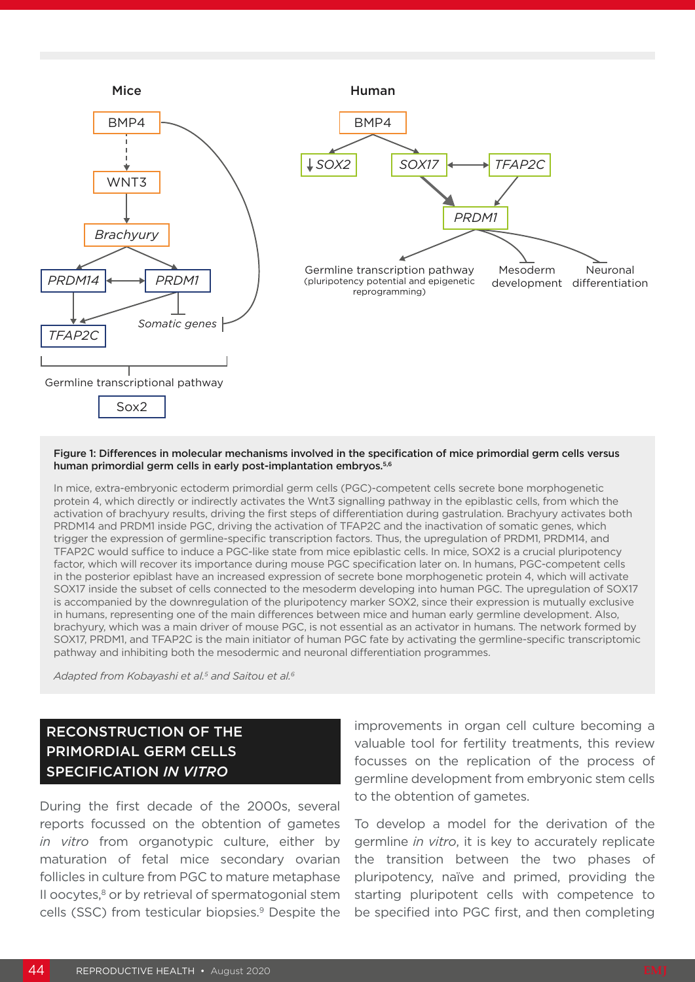

#### Figure 1: Differences in molecular mechanisms involved in the specification of mice primordial germ cells versus human primordial germ cells in early post-implantation embryos.<sup>5,6</sup>

In mice, extra-embryonic ectoderm primordial germ cells (PGC)-competent cells secrete bone morphogenetic protein 4, which directly or indirectly activates the Wnt3 signalling pathway in the epiblastic cells, from which the activation of brachyury results, driving the first steps of differentiation during gastrulation. Brachyury activates both PRDM14 and PRDM1 inside PGC, driving the activation of TFAP2C and the inactivation of somatic genes, which trigger the expression of germline-specific transcription factors. Thus, the upregulation of PRDM1, PRDM14, and TFAP2C would suffice to induce a PGC-like state from mice epiblastic cells. In mice, SOX2 is a crucial pluripotency factor, which will recover its importance during mouse PGC specification later on. In humans, PGC-competent cells in the posterior epiblast have an increased expression of secrete bone morphogenetic protein 4, which will activate SOX17 inside the subset of cells connected to the mesoderm developing into human PGC. The upregulation of SOX17 is accompanied by the downregulation of the pluripotency marker SOX2, since their expression is mutually exclusive in humans, representing one of the main differences between mice and human early germline development. Also, brachyury, which was a main driver of mouse PGC, is not essential as an activator in humans. The network formed by SOX17, PRDM1, and TFAP2C is the main initiator of human PGC fate by activating the germline-specific transcriptomic pathway and inhibiting both the mesodermic and neuronal differentiation programmes.

*Adapted from Kobayashi et al.5 and Saitou et al.6*

# RECONSTRUCTION OF THE PRIMORDIAL GERM CELLS SPECIFICATION *IN VITRO*

During the first decade of the 2000s, several reports focussed on the obtention of gametes *in vitro* from organotypic culture, either by maturation of fetal mice secondary ovarian follicles in culture from PGC to mature metaphase II oocytes, $8$  or by retrieval of spermatogonial stem cells (SSC) from testicular biopsies.<sup>9</sup> Despite the

improvements in organ cell culture becoming a valuable tool for fertility treatments, this review focusses on the replication of the process of germline development from embryonic stem cells to the obtention of gametes.

To develop a model for the derivation of the germline *in vitro*, it is key to accurately replicate the transition between the two phases of pluripotency, naïve and primed, providing the starting pluripotent cells with competence to be specified into PGC first, and then completing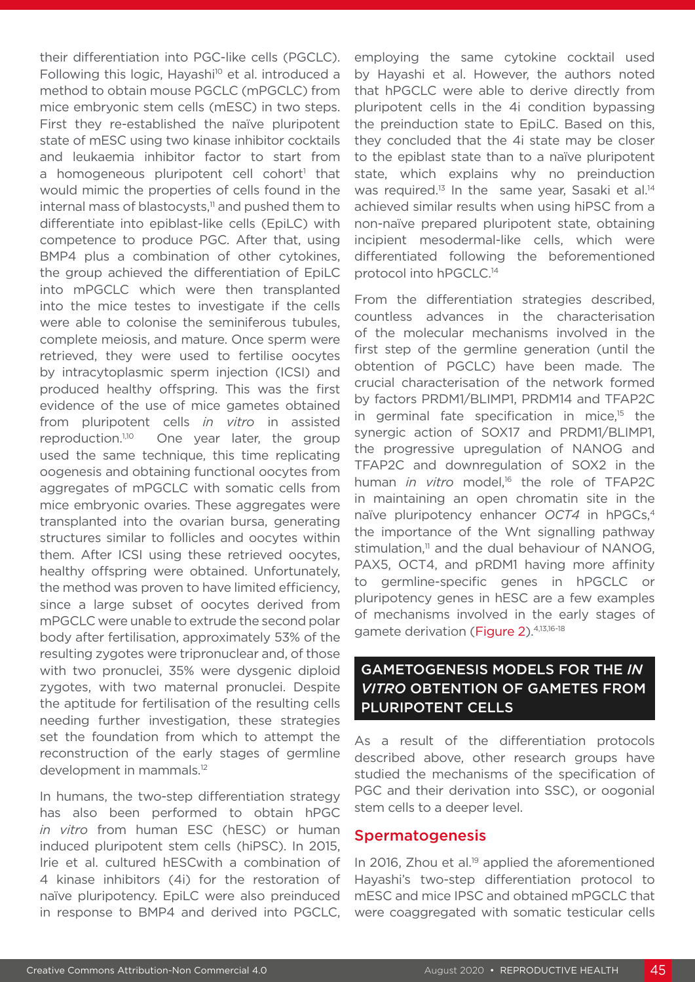their differentiation into PGC-like cells (PGCLC). Following this logic, Hayashi<sup>10</sup> et al. introduced a method to obtain mouse PGCLC (mPGCLC) from mice embryonic stem cells (mESC) in two steps. First they re-established the naïve pluripotent state of mESC using two kinase inhibitor cocktails and leukaemia inhibitor factor to start from a homogeneous pluripotent cell cohort<sup>1</sup> that would mimic the properties of cells found in the internal mass of blastocysts,<sup>11</sup> and pushed them to differentiate into epiblast-like cells (EpiLC) with competence to produce PGC. After that, using BMP4 plus a combination of other cytokines, the group achieved the differentiation of EpiLC into mPGCLC which were then transplanted into the mice testes to investigate if the cells were able to colonise the seminiferous tubules, complete meiosis, and mature. Once sperm were retrieved, they were used to fertilise oocytes by intracytoplasmic sperm injection (ICSI) and produced healthy offspring. This was the first evidence of the use of mice gametes obtained from pluripotent cells *in vitro* in assisted reproduction.<sup>1,10</sup> One year later, the group used the same technique, this time replicating oogenesis and obtaining functional oocytes from aggregates of mPGCLC with somatic cells from mice embryonic ovaries. These aggregates were transplanted into the ovarian bursa, generating structures similar to follicles and oocytes within them. After ICSI using these retrieved oocytes, healthy offspring were obtained. Unfortunately, the method was proven to have limited efficiency, since a large subset of oocytes derived from mPGCLC were unable to extrude the second polar body after fertilisation, approximately 53% of the resulting zygotes were tripronuclear and, of those with two pronuclei, 35% were dysgenic diploid zygotes, with two maternal pronuclei. Despite the aptitude for fertilisation of the resulting cells needing further investigation, these strategies set the foundation from which to attempt the reconstruction of the early stages of germline development in mammals.12

In humans, the two-step differentiation strategy has also been performed to obtain hPGC *in vitro* from human ESC (hESC) or human induced pluripotent stem cells (hiPSC). In 2015, Irie et al. cultured hESCwith a combination of 4 kinase inhibitors (4i) for the restoration of naïve pluripotency. EpiLC were also preinduced in response to BMP4 and derived into PGCLC, employing the same cytokine cocktail used by Hayashi et al. However, the authors noted that hPGCLC were able to derive directly from pluripotent cells in the 4i condition bypassing the preinduction state to EpiLC. Based on this, they concluded that the 4i state may be closer to the epiblast state than to a naïve pluripotent state, which explains why no preinduction was required.<sup>13</sup> In the same year, Sasaki et al.<sup>14</sup> achieved similar results when using hiPSC from a non-naïve prepared pluripotent state, obtaining incipient mesodermal-like cells, which were differentiated following the beforementioned protocol into hPGCLC.14

From the differentiation strategies described, countless advances in the characterisation of the molecular mechanisms involved in the first step of the germline generation (until the obtention of PGCLC) have been made. The crucial characterisation of the network formed by factors PRDM1/BLIMP1, PRDM14 and TFAP2C in germinal fate specification in mice,<sup>15</sup> the synergic action of SOX17 and PRDM1/BLIMP1, the progressive upregulation of NANOG and TFAP2C and downregulation of SOX2 in the human *in vitro* model,<sup>16</sup> the role of TFAP2C in maintaining an open chromatin site in the naïve pluripotency enhancer *OCT4* in hPGCs,4 the importance of the Wnt signalling pathway stimulation. $11$  and the dual behaviour of NANOG. PAX5, OCT4, and pRDM1 having more affinity to germline-specific genes in hPGCLC or pluripotency genes in hESC are a few examples of mechanisms involved in the early stages of gamete derivation (Figure 2).4,13,16-18

# GAMETOGENESIS MODELS FOR THE *IN VITRO* OBTENTION OF GAMETES FROM PLURIPOTENT CELLS

As a result of the differentiation protocols described above, other research groups have studied the mechanisms of the specification of PGC and their derivation into SSC), or oogonial stem cells to a deeper level.

### **Spermatogenesis**

In 2016, Zhou et al.<sup>19</sup> applied the aforementioned Hayashi's two-step differentiation protocol to mESC and mice IPSC and obtained mPGCLC that were coaggregated with somatic testicular cells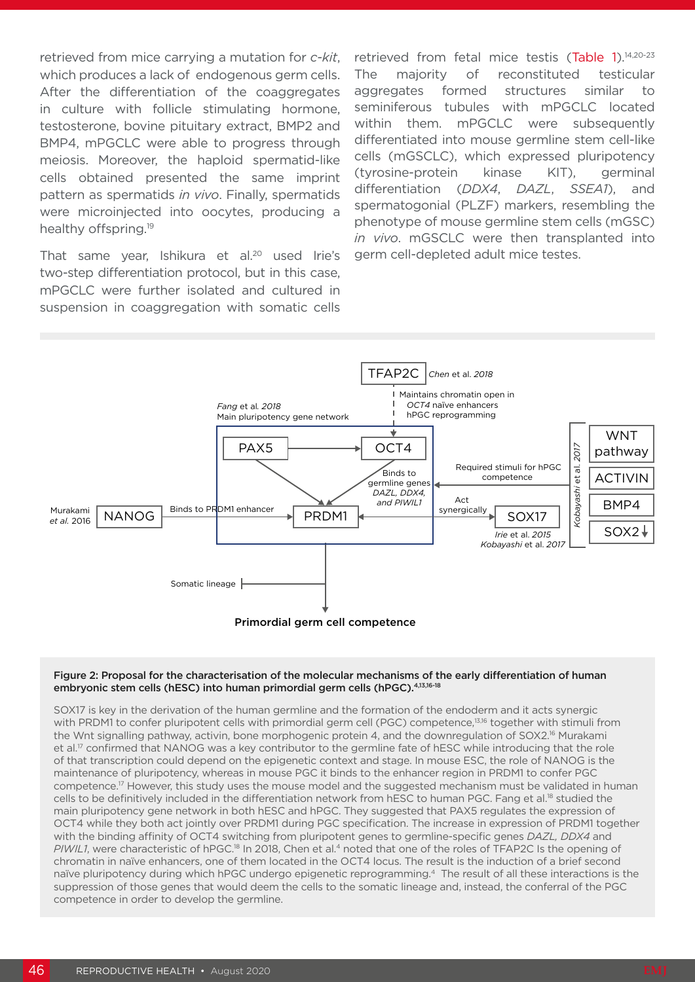retrieved from mice carrying a mutation for *c-kit*, which produces a lack of endogenous germ cells. After the differentiation of the coaggregates in culture with follicle stimulating hormone, testosterone, bovine pituitary extract, BMP2 and BMP4, mPGCLC were able to progress through meiosis. Moreover, the haploid spermatid-like cells obtained presented the same imprint pattern as spermatids *in vivo*. Finally, spermatids were microinjected into oocytes, producing a healthy offspring.<sup>19</sup>

That same year, Ishikura et al.<sup>20</sup> used Irie's two-step differentiation protocol, but in this case, mPGCLC were further isolated and cultured in suspension in coaggregation with somatic cells

retrieved from fetal mice testis (Table 1).<sup>14,20-23</sup> The majority of reconstituted testicular aggregates formed structures similar to seminiferous tubules with mPGCLC located within them. mPGCLC were subsequently differentiated into mouse germline stem cell-like cells (mGSCLC), which expressed pluripotency (tyrosine-protein kinase KIT), germinal differentiation (*DDX4*, *DAZL*, *SSEA1*), and spermatogonial (PLZF) markers, resembling the phenotype of mouse germline stem cells (mGSC) *in vivo*. mGSCLC were then transplanted into germ cell-depleted adult mice testes.



#### Figure 2: Proposal for the characterisation of the molecular mechanisms of the early differentiation of human embryonic stem cells (hESC) into human primordial germ cells (hPGC).4,13,16-18

SOX17 is key in the derivation of the human germline and the formation of the endoderm and it acts synergic with PRDM1 to confer pluripotent cells with primordial germ cell (PGC) competence,<sup>13,16</sup> together with stimuli from the Wnt signalling pathway, activin, bone morphogenic protein 4, and the downregulation of SOX2.<sup>16</sup> Murakami et al.<sup>17</sup> confirmed that NANOG was a key contributor to the germline fate of hESC while introducing that the role of that transcription could depend on the epigenetic context and stage. In mouse ESC, the role of NANOG is the maintenance of pluripotency, whereas in mouse PGC it binds to the enhancer region in PRDM1 to confer PGC competence.17 However, this study uses the mouse model and the suggested mechanism must be validated in human cells to be definitively included in the differentiation network from hESC to human PGC. Fang et al.<sup>18</sup> studied the main pluripotency gene network in both hESC and hPGC. They suggested that PAX5 regulates the expression of OCT4 while they both act jointly over PRDM1 during PGC specification. The increase in expression of PRDM1 together with the binding affinity of OCT4 switching from pluripotent genes to germline-specific genes *DAZL, DDX4* and *PIWIL1*, were characteristic of hPGC.18 In 2018, Chen et al.4 noted that one of the roles of TFAP2C Is the opening of chromatin in naïve enhancers, one of them located in the OCT4 locus. The result is the induction of a brief second naïve pluripotency during which hPGC undergo epigenetic reprogramming.4 The result of all these interactions is the suppression of those genes that would deem the cells to the somatic lineage and, instead, the conferral of the PGC competence in order to develop the germline.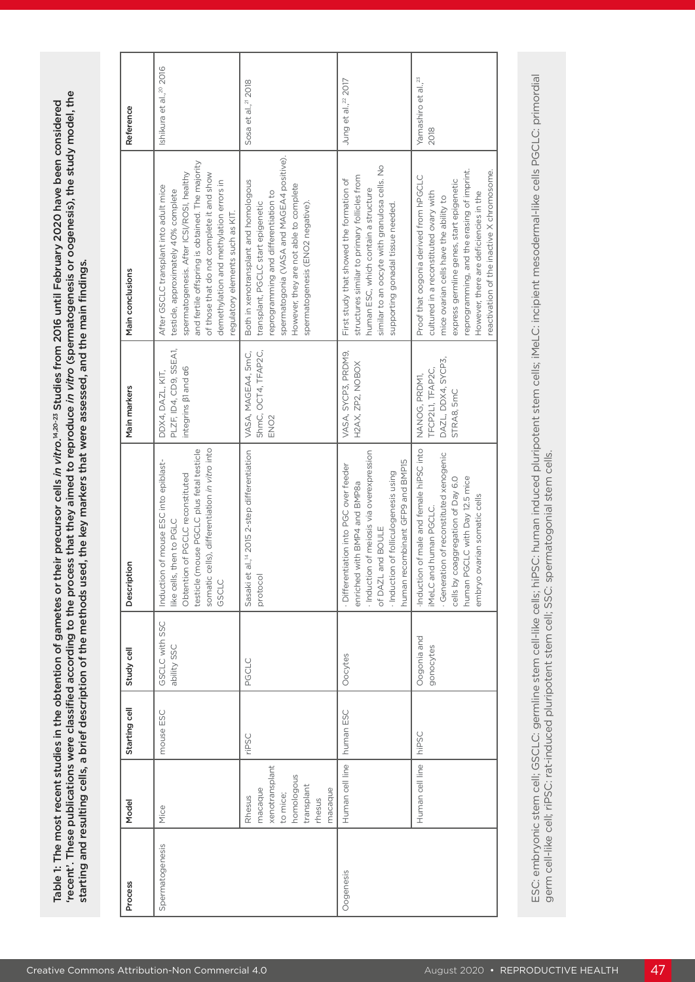| Process         | Model                                                                                            | Starting cell | Study cell                    | Description                                                                                                                                                                                                         | Main markers                                                             | Main conclusions                                                                                                                                                                                                                                                                                             | Reference                               |
|-----------------|--------------------------------------------------------------------------------------------------|---------------|-------------------------------|---------------------------------------------------------------------------------------------------------------------------------------------------------------------------------------------------------------------|--------------------------------------------------------------------------|--------------------------------------------------------------------------------------------------------------------------------------------------------------------------------------------------------------------------------------------------------------------------------------------------------------|-----------------------------------------|
| Spermatogenesis | Mice                                                                                             | mouse ESC     | GSCLC with SSC<br>ability SSC | somatic cells), differentiation in vitro into<br>testicle (mouse PGCLC plus fetal testicle<br>Induction of mouse ESC into epiblast-<br>Obtention of PGCLC reconstituted<br>like cells, then to PGLC<br>GSCLC        | PLZF, ID4, CD9, SSEA1,<br>integrins <b>B1</b> and a6<br>DDX4, DAZL, KIT, | and fertile offspring is obtained. The majority<br>spermatogenesis. After ICSI/ROSI, healthy<br>of those that do not complete it and show<br>demethylation and methylation errors in<br>After GSCLC transplant into adult mice<br>testicle, approximately 40% complete<br>regulatory elements such as KIT.   | Ishikura et al., <sup>20</sup> 2016     |
|                 | xenotransplant<br>homologous<br>transplant<br>macaque<br>macaque<br>to mice;<br>Rhesus<br>rhesus | riPSC         | PGCLC                         | Sasaki et al., <sup>14</sup> 2015 2-step differentiation<br>protocol                                                                                                                                                | 5hmC, OCT4, TFAP2C,<br>VASA, MAGEA4, 5mC,<br>ENO <sub>2</sub>            | spermatogonia (VASA and MAGEA4 positive).<br>Both in xenotransplant and homologous<br>However, they are not able to complete<br>reprogramming and differentiation to<br>transplant, PGCLC start epigenetic<br>spermatogenesis (ENO2 negative).                                                               | Sosa et al., <sup>21</sup> 2018         |
| Oogenesis       | Human cell line                                                                                  | human ESC     | Oocytes                       | - Induction of meiosis via overexpression<br>human recombinant GFP9 and BMP15<br>Differentiation into PGC over feeder<br>Induction of folliculogenesis using<br>enriched with BMP4 and BMP8a<br>of DAZL and BOULE   | VASA, SYCP3, PRDM9,<br>H2AX, ZP2, NOBOX                                  | similar to an oocyte with granulosa cells. No<br>structures similar to primary follicles from<br>First study that showed the formation of<br>human ESC, which contain a structure<br>supporting gonadal tissue needed.                                                                                       | Jung et al., <sup>22</sup> 2017         |
|                 | Human cell line                                                                                  | hiPSC         | Oogonia and<br>gonocytes      | Induction of male and female hiPSC into<br>· Generation of reconstituted xenogenic<br>human PGCLC with Day 12.5 mice<br>cells by coaggregation of Day 6.0<br>embryo ovarian somatic cells<br>iMeLC and human PGCLC. | DAZL, DDX4, SYCP3,<br>TFCP2L1, TFAP2C,<br>NANOG, PRDM1,<br>STRA8, 5mC    | reprogramming, and the erasing of imprint.<br>reactivation of the inactive X chromosome.<br>Proof that oogonia derived from hPGCLC<br>express germline genes, start epigenetic<br>cultured in a reconstituted ovary with<br>However, there are deficiencies in the<br>mice ovarian cells have the ability to | Yamashiro et al., <sup>23</sup><br>2018 |
|                 |                                                                                                  |               |                               | germ cell-like cell; riPSC: rat-induced pluripotent stem cell; SSC: spermatogonial stem cells.                                                                                                                      |                                                                          | ESC: embryonic stem cell; GSCLC: germline stem cell-like cells; hiPSC: human induced pluripotent stem cells; iMeLC: incipient mesodermal-like cells PGCLC: primordial                                                                                                                                        |                                         |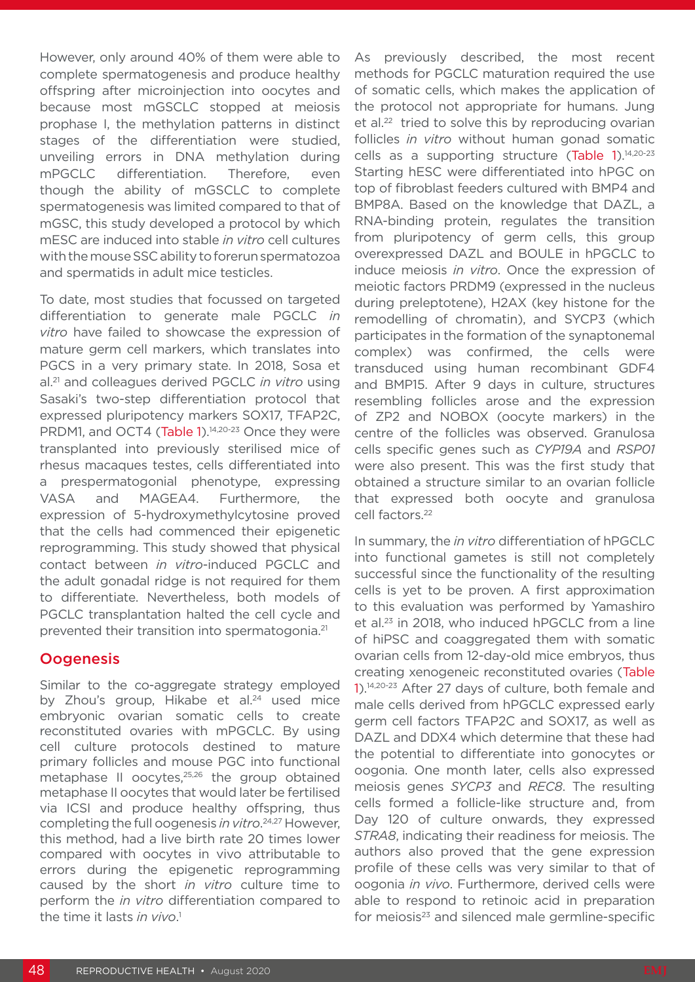However, only around 40% of them were able to complete spermatogenesis and produce healthy offspring after microinjection into oocytes and because most mGSCLC stopped at meiosis prophase I, the methylation patterns in distinct stages of the differentiation were studied, unveiling errors in DNA methylation during mPGCLC differentiation. Therefore, even though the ability of mGSCLC to complete spermatogenesis was limited compared to that of mGSC, this study developed a protocol by which mESC are induced into stable *in vitro* cell cultures with the mouse SSC ability to forerun spermatozoa and spermatids in adult mice testicles.

To date, most studies that focussed on targeted differentiation to generate male PGCLC *in vitro* have failed to showcase the expression of mature germ cell markers, which translates into PGCS in a very primary state. In 2018, Sosa et al.21 and colleagues derived PGCLC *in vitro* using Sasaki's two-step differentiation protocol that expressed pluripotency markers SOX17, TFAP2C, PRDM1, and OCT4 (Table 1).<sup>14,20-23</sup> Once they were transplanted into previously sterilised mice of rhesus macaques testes, cells differentiated into a prespermatogonial phenotype, expressing VASA and MAGEA4. Furthermore, the expression of 5-hydroxymethylcytosine proved that the cells had commenced their epigenetic reprogramming. This study showed that physical contact between *in vitro*-induced PGCLC and the adult gonadal ridge is not required for them to differentiate. Nevertheless, both models of PGCLC transplantation halted the cell cycle and prevented their transition into spermatogonia.21

### **Oogenesis**

Similar to the co-aggregate strategy employed by Zhou's group, Hikabe et al.<sup>24</sup> used mice embryonic ovarian somatic cells to create reconstituted ovaries with mPGCLC. By using cell culture protocols destined to mature primary follicles and mouse PGC into functional metaphase II oocytes,<sup>25,26</sup> the group obtained metaphase II oocytes that would later be fertilised via ICSI and produce healthy offspring, thus completing the full oogenesis *in vitro*. 24,27 However, this method, had a live birth rate 20 times lower compared with oocytes in vivo attributable to errors during the epigenetic reprogramming caused by the short *in vitro* culture time to perform the *in vitro* differentiation compared to the time it lasts *in vivo*. 1

As previously described, the most recent methods for PGCLC maturation required the use of somatic cells, which makes the application of the protocol not appropriate for humans. Jung et al.<sup>22</sup> tried to solve this by reproducing ovarian follicles *in vitro* without human gonad somatic cells as a supporting structure (Table 1).<sup>14,20-23</sup> Starting hESC were differentiated into hPGC on top of fibroblast feeders cultured with BMP4 and BMP8A. Based on the knowledge that DAZL, a RNA-binding protein, regulates the transition from pluripotency of germ cells, this group overexpressed DAZL and BOULE in hPGCLC to induce meiosis *in vitro*. Once the expression of meiotic factors PRDM9 (expressed in the nucleus during preleptotene), H2AX (key histone for the remodelling of chromatin), and SYCP3 (which participates in the formation of the synaptonemal complex) was confirmed, the cells were transduced using human recombinant GDF4 and BMP15. After 9 days in culture, structures resembling follicles arose and the expression of ZP2 and NOBOX (oocyte markers) in the centre of the follicles was observed. Granulosa cells specific genes such as *CYP19A* and *RSP01* were also present. This was the first study that obtained a structure similar to an ovarian follicle that expressed both oocyte and granulosa cell factors.<sup>22</sup>

In summary, the *in vitro* differentiation of hPGCLC into functional gametes is still not completely successful since the functionality of the resulting cells is yet to be proven. A first approximation to this evaluation was performed by Yamashiro et al.23 in 2018, who induced hPGCLC from a line of hiPSC and coaggregated them with somatic ovarian cells from 12-day-old mice embryos, thus creating xenogeneic reconstituted ovaries (Table 1).14,20-23 After 27 days of culture, both female and male cells derived from hPGCLC expressed early germ cell factors TFAP2C and SOX17, as well as DAZL and DDX4 which determine that these had the potential to differentiate into gonocytes or oogonia. One month later, cells also expressed meiosis genes *SYCP3* and *REC8*. The resulting cells formed a follicle-like structure and, from Day 120 of culture onwards, they expressed *STRA8*, indicating their readiness for meiosis. The authors also proved that the gene expression profile of these cells was very similar to that of oogonia *in vivo*. Furthermore, derived cells were able to respond to retinoic acid in preparation for meiosis<sup>23</sup> and silenced male germline-specific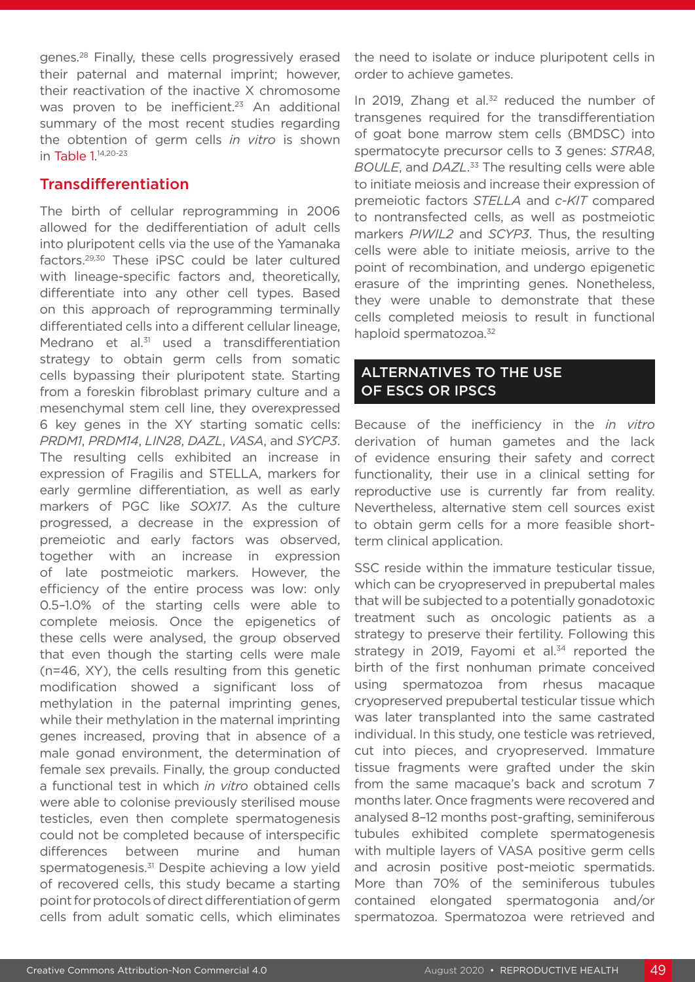genes.28 Finally, these cells progressively erased their paternal and maternal imprint; however, their reactivation of the inactive X chromosome was proven to be inefficient.<sup>23</sup> An additional summary of the most recent studies regarding the obtention of germ cells *in vitro* is shown in Table 1.<sup>14,20-23</sup>

### Transdifferentiation

The birth of cellular reprogramming in 2006 allowed for the dedifferentiation of adult cells into pluripotent cells via the use of the Yamanaka factors.29,30 These iPSC could be later cultured with lineage-specific factors and, theoretically, differentiate into any other cell types. Based on this approach of reprogramming terminally differentiated cells into a different cellular lineage, Medrano et al.<sup>31</sup> used a transdifferentiation strategy to obtain germ cells from somatic cells bypassing their pluripotent state. Starting from a foreskin fibroblast primary culture and a mesenchymal stem cell line, they overexpressed 6 key genes in the XY starting somatic cells: *PRDM1*, *PRDM14*, *LIN28*, *DAZL*, *VASA*, and *SYCP3*. The resulting cells exhibited an increase in expression of Fragilis and STELLA, markers for early germline differentiation, as well as early markers of PGC like *SOX17*. As the culture progressed, a decrease in the expression of premeiotic and early factors was observed, together with an increase in expression of late postmeiotic markers. However, the efficiency of the entire process was low: only 0.5–1.0% of the starting cells were able to complete meiosis. Once the epigenetics of these cells were analysed, the group observed that even though the starting cells were male (n=46, XY), the cells resulting from this genetic modification showed a significant loss of methylation in the paternal imprinting genes, while their methylation in the maternal imprinting genes increased, proving that in absence of a male gonad environment, the determination of female sex prevails. Finally, the group conducted a functional test in which *in vitro* obtained cells were able to colonise previously sterilised mouse testicles, even then complete spermatogenesis could not be completed because of interspecific differences between murine and human spermatogenesis.<sup>31</sup> Despite achieving a low yield of recovered cells, this study became a starting point for protocols of direct differentiation of germ cells from adult somatic cells, which eliminates

the need to isolate or induce pluripotent cells in order to achieve gametes.

In 2019, Zhang et al. $32$  reduced the number of transgenes required for the transdifferentiation of goat bone marrow stem cells (BMDSC) into spermatocyte precursor cells to 3 genes: *STRA8*, *BOULE*, and *DAZL*. 33 The resulting cells were able to initiate meiosis and increase their expression of premeiotic factors *STELLA* and *c-KIT* compared to nontransfected cells, as well as postmeiotic markers *PIWIL2* and *SCYP3*. Thus, the resulting cells were able to initiate meiosis, arrive to the point of recombination, and undergo epigenetic erasure of the imprinting genes. Nonetheless, they were unable to demonstrate that these cells completed meiosis to result in functional haploid spermatozoa.<sup>32</sup>

## ALTERNATIVES TO THE USE OF ESCS OR IPSCS

Because of the inefficiency in the *in vitro*  derivation of human gametes and the lack of evidence ensuring their safety and correct functionality, their use in a clinical setting for reproductive use is currently far from reality. Nevertheless, alternative stem cell sources exist to obtain germ cells for a more feasible shortterm clinical application.

SSC reside within the immature testicular tissue, which can be cryopreserved in prepubertal males that will be subjected to a potentially gonadotoxic treatment such as oncologic patients as a strategy to preserve their fertility. Following this strategy in 2019, Fayomi et al.<sup>34</sup> reported the birth of the first nonhuman primate conceived using spermatozoa from rhesus macaque cryopreserved prepubertal testicular tissue which was later transplanted into the same castrated individual. In this study, one testicle was retrieved, cut into pieces, and cryopreserved. Immature tissue fragments were grafted under the skin from the same macaque's back and scrotum 7 months later. Once fragments were recovered and analysed 8–12 months post-grafting, seminiferous tubules exhibited complete spermatogenesis with multiple layers of VASA positive germ cells and acrosin positive post-meiotic spermatids. More than 70% of the seminiferous tubules contained elongated spermatogonia and/or spermatozoa. Spermatozoa were retrieved and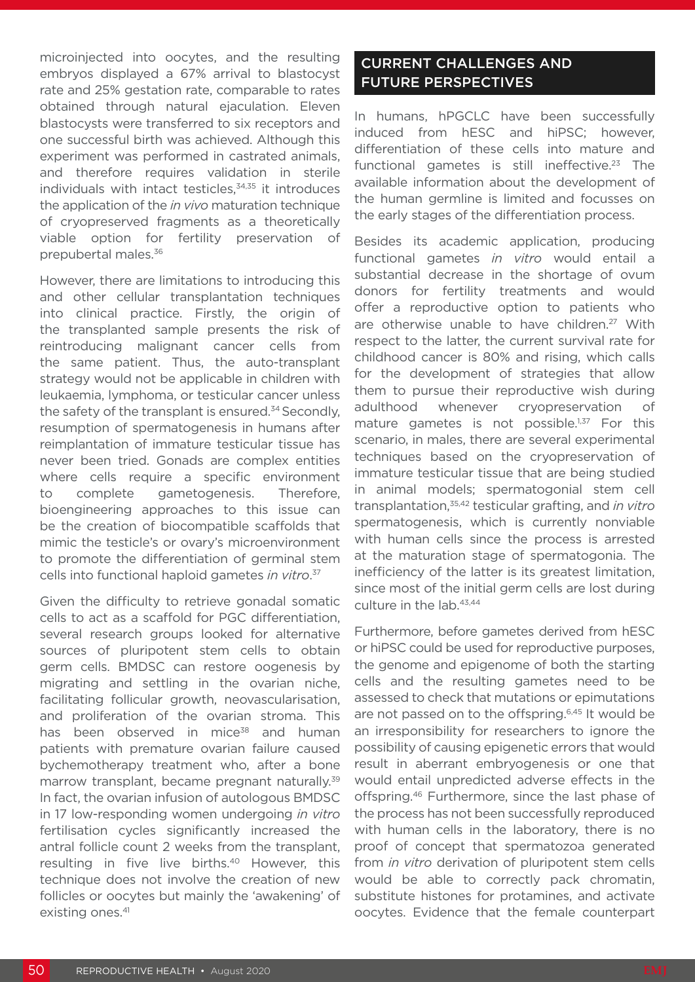microinjected into oocytes, and the resulting embryos displayed a 67% arrival to blastocyst rate and 25% gestation rate, comparable to rates obtained through natural ejaculation. Eleven blastocysts were transferred to six receptors and one successful birth was achieved. Although this experiment was performed in castrated animals, and therefore requires validation in sterile individuals with intact testicles, $34,35$  it introduces the application of the *in vivo* maturation technique of cryopreserved fragments as a theoretically viable option for fertility preservation of prepubertal males.36

However, there are limitations to introducing this and other cellular transplantation techniques into clinical practice. Firstly, the origin of the transplanted sample presents the risk of reintroducing malignant cancer cells from the same patient. Thus, the auto-transplant strategy would not be applicable in children with leukaemia, lymphoma, or testicular cancer unless the safety of the transplant is ensured.<sup>34</sup> Secondly, resumption of spermatogenesis in humans after reimplantation of immature testicular tissue has never been tried. Gonads are complex entities where cells require a specific environment to complete gametogenesis. Therefore, bioengineering approaches to this issue can be the creation of biocompatible scaffolds that mimic the testicle's or ovary's microenvironment to promote the differentiation of germinal stem cells into functional haploid gametes *in vitro*. 37

Given the difficulty to retrieve gonadal somatic cells to act as a scaffold for PGC differentiation, several research groups looked for alternative sources of pluripotent stem cells to obtain germ cells. BMDSC can restore oogenesis by migrating and settling in the ovarian niche, facilitating follicular growth, neovascularisation, and proliferation of the ovarian stroma. This has been observed in mice<sup>38</sup> and human patients with premature ovarian failure caused bychemotherapy treatment who, after a bone marrow transplant, became pregnant naturally.<sup>39</sup> In fact, the ovarian infusion of autologous BMDSC in 17 low-responding women undergoing *in vitro*  fertilisation cycles significantly increased the antral follicle count 2 weeks from the transplant, resulting in five live births.40 However, this technique does not involve the creation of new follicles or oocytes but mainly the 'awakening' of existing ones.<sup>41</sup>

# CURRENT CHALLENGES AND FUTURE PERSPECTIVES

In humans, hPGCLC have been successfully induced from hESC and hiPSC; however, differentiation of these cells into mature and functional gametes is still ineffective.<sup>23</sup> The available information about the development of the human germline is limited and focusses on the early stages of the differentiation process.

Besides its academic application, producing functional gametes *in vitro* would entail a substantial decrease in the shortage of ovum donors for fertility treatments and would offer a reproductive option to patients who are otherwise unable to have children.<sup>27</sup> With respect to the latter, the current survival rate for childhood cancer is 80% and rising, which calls for the development of strategies that allow them to pursue their reproductive wish during adulthood whenever cryopreservation of mature gametes is not possible.<sup>1,37</sup> For this scenario, in males, there are several experimental techniques based on the cryopreservation of immature testicular tissue that are being studied in animal models; spermatogonial stem cell transplantation,35,42 testicular grafting, and *in vitro*  spermatogenesis, which is currently nonviable with human cells since the process is arrested at the maturation stage of spermatogonia. The inefficiency of the latter is its greatest limitation, since most of the initial germ cells are lost during culture in the lab.43,44

Furthermore, before gametes derived from hESC or hiPSC could be used for reproductive purposes, the genome and epigenome of both the starting cells and the resulting gametes need to be assessed to check that mutations or epimutations are not passed on to the offspring.<sup>6,45</sup> It would be an irresponsibility for researchers to ignore the possibility of causing epigenetic errors that would result in aberrant embryogenesis or one that would entail unpredicted adverse effects in the offspring.46 Furthermore, since the last phase of the process has not been successfully reproduced with human cells in the laboratory, there is no proof of concept that spermatozoa generated from *in vitro* derivation of pluripotent stem cells would be able to correctly pack chromatin, substitute histones for protamines, and activate oocytes. Evidence that the female counterpart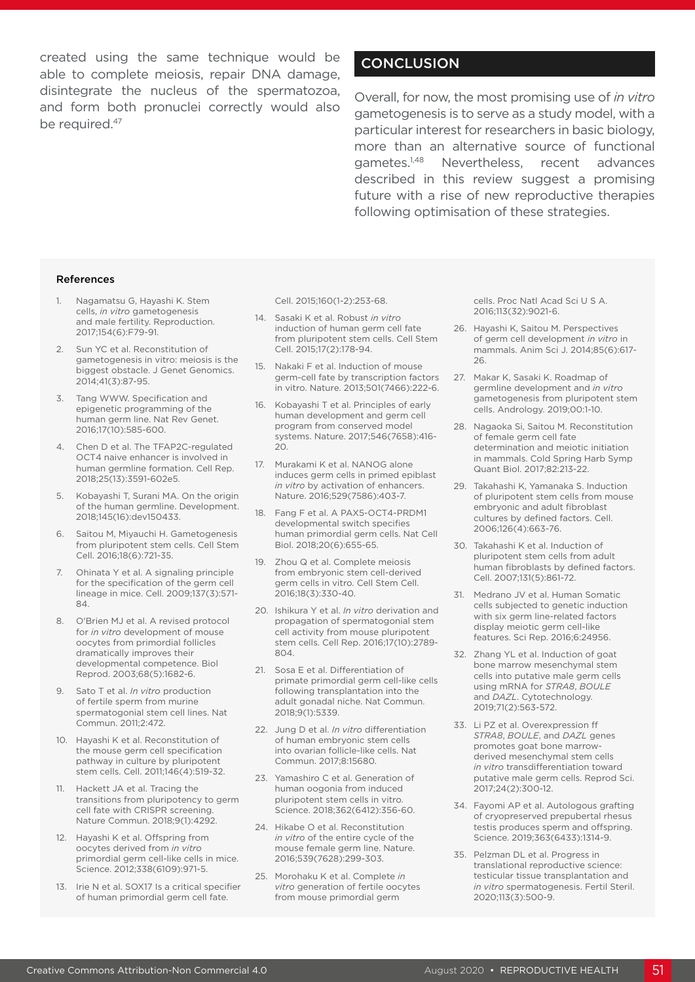created using the same technique would be able to complete meiosis, repair DNA damage, disintegrate the nucleus of the spermatozoa, and form both pronuclei correctly would also be required.<sup>47</sup>

## **CONCLUSION**

Overall, for now, the most promising use of *in vitro*  gametogenesis is to serve as a study model, with a particular interest for researchers in basic biology, more than an alternative source of functional gametes.1,48 Nevertheless, recent advances described in this review suggest a promising future with a rise of new reproductive therapies following optimisation of these strategies.

#### References

- 1. Nagamatsu G, Hayashi K. Stem cells, *in vitro* gametogenesis and male fertility. Reproduction. 2017;154(6):F79-91.
- 2. Sun YC et al. Reconstitution of gametogenesis in vitro: meiosis is the biggest obstacle. J Genet Genomics. 2014;41(3):87-95.
- 3. Tang WWW. Specification and epigenetic programming of the human germ line. Nat Rev Genet. 2016;17(10):585-600.
- 4. Chen D et al. The TFAP2C-regulated OCT4 naive enhancer is involved in human germline formation. Cell Rep. 2018;25(13):3591-602e5.
- 5. Kobayashi T, Surani MA. On the origin of the human germline. Development. 2018;145(16):dev150433.
- 6. Saitou M, Miyauchi H. Gametogenesis from pluripotent stem cells. Cell Stem Cell. 2016;18(6):721-35.
- 7. Ohinata Y et al. A signaling principle for the specification of the germ cell lineage in mice. Cell. 2009;137(3):571- 84.
- 8. O'Brien MJ et al. A revised protocol for *in vitro* development of mouse oocytes from primordial follicles dramatically improves their developmental competence. Biol Reprod. 2003;68(5):1682-6.
- 9. Sato T et al. *In vitro* production of fertile sperm from murine spermatogonial stem cell lines. Nat Commun. 2011;2:472.
- 10. Hayashi K et al. Reconstitution of the mouse germ cell specification pathway in culture by pluripotent stem cells. Cell. 2011;146(4):519-32.
- 11. Hackett JA et al. Tracing the transitions from pluripotency to germ cell fate with CRISPR screening. Nature Commun. 2018;9(1):4292.
- 12. Hayashi K et al. Offspring from oocytes derived from *in vitro*  primordial germ cell-like cells in mice. Science. 2012;338(6109):971-5.
- 13. Irie N et al. SOX17 Is a critical specifier of human primordial germ cell fate.

Cell. 2015;160(1-2):253-68.

- 14. Sasaki K et al. Robust *in vitro*  induction of human germ cell fate from pluripotent stem cells. Cell Stem Cell. 2015;17(2):178-94.
- 15. Nakaki F et al. Induction of mouse germ-cell fate by transcription factors in vitro. Nature. 2013;501(7466):222-6.
- Kobayashi T et al. Principles of early human development and germ cell program from conserved model systems. Nature. 2017;546(7658):416- 20.
- 17. Murakami K et al. NANOG alone induces germ cells in primed epiblast *in vitro* by activation of enhancers. Nature. 2016;529(7586):403-7.
- 18. Fang F et al. A PAX5-OCT4-PRDM1 developmental switch specifies human primordial germ cells. Nat Cell Biol. 2018;20(6):655-65.
- 19. Zhou Q et al. Complete meiosis from embryonic stem cell-derived germ cells in vitro. Cell Stem Cell. 2016;18(3):330-40.
- 20. Ishikura Y et al. *In vitro* derivation and propagation of spermatogonial stem cell activity from mouse pluripotent stem cells. Cell Rep. 2016;17(10):2789- 804.
- 21. Sosa E et al. Differentiation of primate primordial germ cell-like cells following transplantation into the adult gonadal niche. Nat Commun. 2018;9(1):5339.
- 22. Jung D et al. *In vitro* differentiation of human embryonic stem cells into ovarian follicle-like cells. Nat Commun. 2017;8:15680.
- 23. Yamashiro C et al. Generation of human oogonia from induced pluripotent stem cells in vitro. Science. 2018;362(6412):356-60.
- 24. Hikabe O et al. Reconstitution *in vitro* of the entire cycle of the mouse female germ line. Nature. 2016;539(7628):299-303.
- 25. Morohaku K et al. Complete *in vitro* generation of fertile oocytes from mouse primordial germ

cells. Proc Natl Acad Sci U S A. 2016;113(32):9021-6.

- 26. Hayashi K, Saitou M. Perspectives of germ cell development *in vitro* in mammals. Anim Sci J. 2014;85(6):617- 26.
- 27. Makar K, Sasaki K. Roadmap of germline development and *in vitro*  gametogenesis from pluripotent stem cells. Andrology. 2019;00:1-10.
- 28. Nagaoka Si, Saitou M. Reconstitution of female germ cell fate determination and meiotic initiation in mammals. Cold Spring Harb Symp Quant Biol. 2017;82:213-22.
- 29. Takahashi K, Yamanaka S. Induction of pluripotent stem cells from mouse embryonic and adult fibroblast cultures by defined factors. Cell. 2006;126(4):663-76.
- 30. Takahashi K et al. Induction of pluripotent stem cells from adult human fibroblasts by defined factors. Cell. 2007;131(5):861-72.
- 31. Medrano JV et al. Human Somatic cells subjected to genetic induction with six germ line-related factors display meiotic germ cell-like features. Sci Rep. 2016;6:24956.
- 32. Zhang YL et al. Induction of goat bone marrow mesenchymal stem cells into putative male germ cells using mRNA for *STRA8*, *BOULE* and *DAZL*. Cytotechnology. 2019;71(2):563-572.
- 33. Li PZ et al. Overexpression ff *STRA8*, *BOULE*, and *DAZL* genes promotes goat bone marrowderived mesenchymal stem cells *in vitro* transdifferentiation toward putative male germ cells. Reprod Sci. 2017;24(2):300-12.
- 34. Fayomi AP et al. Autologous grafting of cryopreserved prepubertal rhesus testis produces sperm and offspring. Science. 2019;363(6433):1314-9.
- 35. Pelzman DL et al. Progress in translational reproductive science: testicular tissue transplantation and *in vitro* spermatogenesis. Fertil Steril. 2020;113(3):500-9.